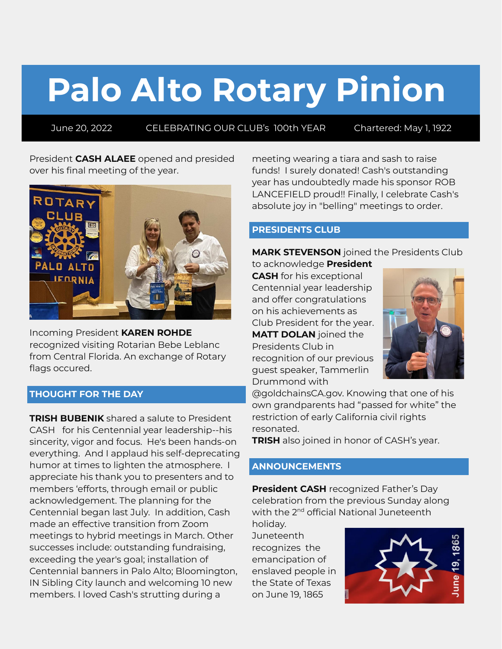# **Palo Alto Rotary Pinion**

June 20, 2022 CELEBRATING OUR CLUB's 100th YEAR Chartered: May 1, 1922

President **CASH ALAEE** opened and presided over his final meeting of the year.



Incoming President **KAREN ROHDE** recognized visiting Rotarian Bebe Leblanc from Central Florida. An exchange of Rotary flags occured.

## **THOUGHT FOR THE DAY**

**TRISH BUBENIK** shared a salute to President CASH for his Centennial year leadership--his sincerity, vigor and focus. He's been hands-on everything. And I applaud his self-deprecating humor at times to lighten the atmosphere. I appreciate his thank you to presenters and to members 'efforts, through email or public acknowledgement. The planning for the Centennial began last July. In addition, Cash made an effective transition from Zoom meetings to hybrid meetings in March. Other successes include: outstanding fundraising, exceeding the year's goal; installation of Centennial banners in Palo Alto; Bloomington, IN Sibling City launch and welcoming 10 new members. I loved Cash's strutting during a

meeting wearing a tiara and sash to raise funds! I surely donated! Cash's outstanding year has undoubtedly made his sponsor ROB LANCEFIELD proud!! Finally, I celebrate Cash's absolute joy in "belling" meetings to order.

## **PRESIDENTS CLUB**

**MARK STEVENSON** joined the Presidents Club

to acknowledge **President CASH** for his exceptional Centennial year leadership and offer congratulations on his achievements as Club President for the year. **MATT DOLAN** joined the Presidents Club in recognition of our previous guest speaker, Tammerlin Drummond with



@goldchainsCA.gov. Knowing that one of his own grandparents had "passed for white" the restriction of early California civil rights resonated.

**TRISH** also joined in honor of CASH's year.

## **ANNOUNCEMENTS**

**President CASH** recognized Father's Day celebration from the previous Sunday along with the 2<sup>nd</sup> official National Juneteenth

holiday. **Juneteenth** recognizes the emancipation of enslaved people in the State of Texas on June 19, 1865

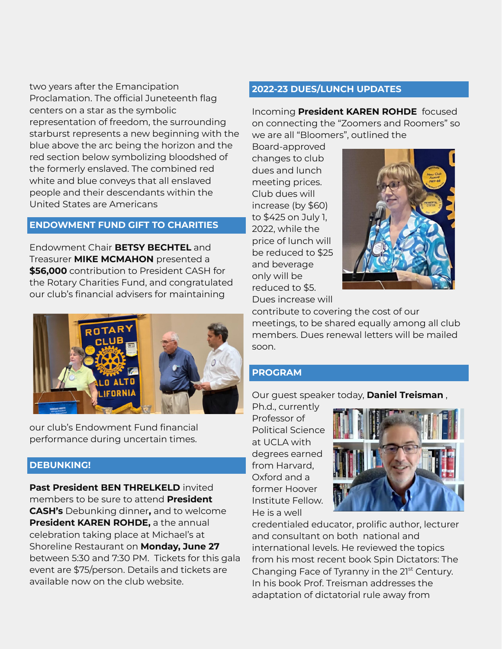two years after the Emancipation Proclamation. The official Juneteenth flag centers on a star as the symbolic representation of freedom, the surrounding starburst represents a new beginning with the blue above the arc being the horizon and the red section below symbolizing bloodshed of the formerly enslaved. The combined red white and blue conveys that all enslaved people and their descendants within the United States are Americans

## **ENDOWMENT FUND GIFT TO CHARITIES**

Endowment Chair **BETSY BECHTEL** and Treasurer **MIKE MCMAHON** presented a **\$56,000** contribution to President CASH for the Rotary Charities Fund, and congratulated our club's financial advisers for maintaining



our club's Endowment Fund financial performance during uncertain times.

#### **DEBUNKING!**

**Past President BEN THRELKELD** invited members to be sure to attend **President CASH's** Debunking dinner**,** and to welcome **President KAREN ROHDE,** a the annual celebration taking place at Michael's at Shoreline Restaurant on **Monday, June 27** between 5:30 and 7:30 PM. Tickets for this gala event are \$75/person. Details and tickets are available now on the club website.

#### **2022-23 DUES/LUNCH UPDATES**

Incoming **President KAREN ROHDE** focused on connecting the "Zoomers and Roomers" so we are all "Bloomers", outlined the

Board-approved changes to club dues and lunch meeting prices. Club dues will increase (by \$60) to \$425 on July 1, 2022, while the price of lunch will be reduced to \$25 and beverage only will be reduced to \$5. Dues increase will



contribute to covering the cost of our meetings, to be shared equally among all club members. Dues renewal letters will be mailed soon.

## **PROGRAM**

Our guest speaker today, **Daniel Treisman** ,

Ph.d., currently Professor of Political Science at UCLA with degrees earned from Harvard, Oxford and a former Hoover Institute Fellow. He is a well



credentialed educator, prolific author, lecturer and consultant on both national and international levels. He reviewed the topics from his most recent book Spin Dictators: The Changing Face of Tyranny in the 21<sup>st</sup> Century. In his book Prof. Treisman addresses the adaptation of dictatorial rule away from